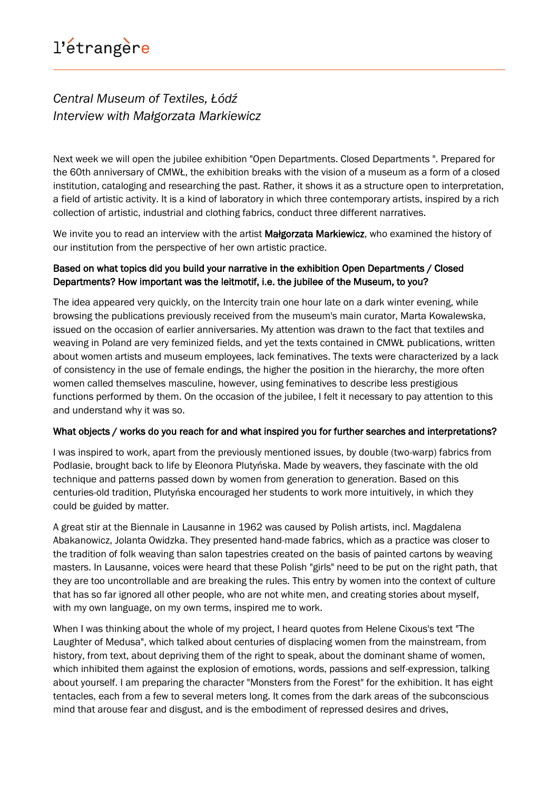# *Central Museum of Textiles, Łódź Interview with Małgorzata Markiewicz*

Next week we will open the jubilee exhibition "Open Departments. Closed Departments ". Prepared for the 60th anniversary of CMWŁ, the exhibition breaks with the vision of a museum as a form of a closed institution, cataloging and researching the past. Rather, it shows it as a structure open to interpretation, a field of artistic activity. It is a kind of laboratory in which three contemporary artists, inspired by a rich collection of artistic, industrial and clothing fabrics, conduct three different narratives.

We invite you to read an interview with the artist Małgorzata Markiewicz, who examined the history of our institution from the perspective of her own artistic practice.

## Based on what topics did you build your narrative in the exhibition Open Departments / Closed Departments? How important was the leitmotif, i.e. the jubilee of the Museum, to you?

The idea appeared very quickly, on the Intercity train one hour late on a dark winter evening, while browsing the publications previously received from the museum's main curator, Marta Kowalewska, issued on the occasion of earlier anniversaries. My attention was drawn to the fact that textiles and weaving in Poland are very feminized fields, and yet the texts contained in CMWŁ publications, written about women artists and museum employees, lack feminatives. The texts were characterized by a lack of consistency in the use of female endings, the higher the position in the hierarchy, the more often women called themselves masculine, however, using feminatives to describe less prestigious functions performed by them. On the occasion of the jubilee, I felt it necessary to pay attention to this and understand why it was so.

### What objects / works do you reach for and what inspired you for further searches and interpretations?

I was inspired to work, apart from the previously mentioned issues, by double (two-warp) fabrics from Podlasie, brought back to life by Eleonora Plutyńska. Made by weavers, they fascinate with the old technique and patterns passed down by women from generation to generation. Based on this centuries-old tradition, Plutyńska encouraged her students to work more intuitively, in which they could be guided by matter.

A great stir at the Biennale in Lausanne in 1962 was caused by Polish artists, incl. Magdalena Abakanowicz, Jolanta Owidzka. They presented hand-made fabrics, which as a practice was closer to the tradition of folk weaving than salon tapestries created on the basis of painted cartons by weaving masters. In Lausanne, voices were heard that these Polish "girls" need to be put on the right path, that they are too uncontrollable and are breaking the rules. This entry by women into the context of culture that has so far ignored all other people, who are not white men, and creating stories about myself, with my own language, on my own terms, inspired me to work.

When I was thinking about the whole of my project, I heard quotes from Helene Cixous's text "The Laughter of Medusa", which talked about centuries of displacing women from the mainstream, from history, from text, about depriving them of the right to speak, about the dominant shame of women, which inhibited them against the explosion of emotions, words, passions and self-expression, talking about yourself. I am preparing the character "Monsters from the Forest" for the exhibition. It has eight tentacles, each from a few to several meters long. It comes from the dark areas of the subconscious mind that arouse fear and disgust, and is the embodiment of repressed desires and drives,